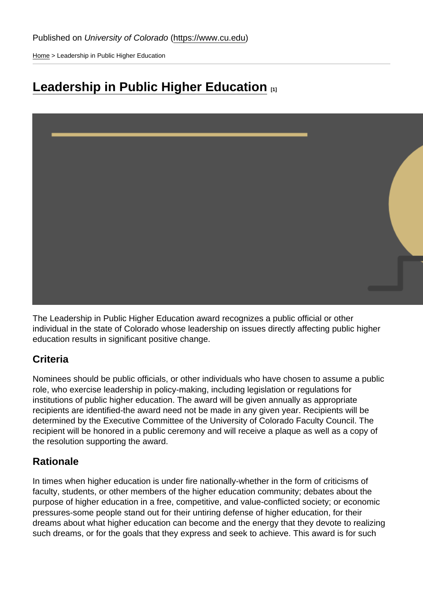[Home](https://www.cu.edu/) > Leadership in Public Higher Education

# [Leadership in Public Higher Education](https://www.cu.edu/faculty/faculty-council/awards/leadership-public-higher-education) [1]

The Leadership in Public Higher Education award recognizes a public official or other individual in the state of Colorado whose leadership on issues directly affecting public higher education results in significant positive change.

## **Criteria**

Nominees should be public officials, or other individuals who have chosen to assume a public role, who exercise leadership in policy-making, including legislation or regulations for institutions of public higher education. The award will be given annually as appropriate recipients are identified-the award need not be made in any given year. Recipients will be determined by the Executive Committee of the University of Colorado Faculty Council. The recipient will be honored in a public ceremony and will receive a plaque as well as a copy of the resolution supporting the award.

### Rationale

In times when higher education is under fire nationally-whether in the form of criticisms of faculty, students, or other members of the higher education community; debates about the purpose of higher education in a free, competitive, and value-conflicted society; or economic pressures-some people stand out for their untiring defense of higher education, for their dreams about what higher education can become and the energy that they devote to realizing such dreams, or for the goals that they express and seek to achieve. This award is for such